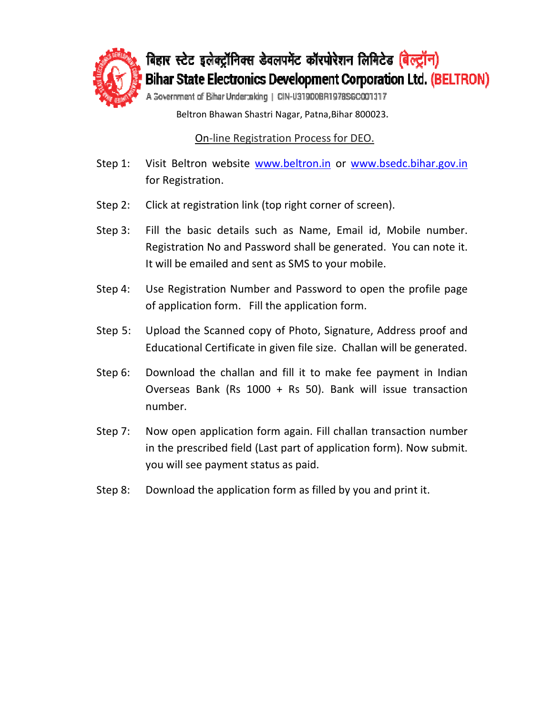

बिहार स्टेट इलेक्ट्रॉनिक्स डेवलपमेंट कॉरपोरेशन लिमिटेड (बेल्ट्रॉन) **Bihar State Electronics Development Corporation Ltd. (BELTRON)** 

A Sovernment of Bihar Undertaking | CIN-U31900BR1978SGC001317

Beltron Bhawan Shastri Nagar, Patna, Bihar 800023.

On-line Registration Process for DEO.

- On-line Registration Process for DEO.<br>Step 1: Visit Beltron website <u>www.beltron.in</u> or <u>www.bsedc.bihar.gov.in</u> for Registration.
- Step 2: Click at registration link (top right corner of screen).
- Step 3: Fill the basic details such as Name, Email id, Mobile number.<br>Registration No and Password shall be generated. You can note it. Registration No and Password shall be generated. You can note it. It will be emailed and sent as SMS to your mobile. www.bsedc.bihar.gov.in<br>f screen).<br>ail id, Mobile number.<br>erated. You can note it.
- Step 4: Use Registration Number and Password to open the profile page of application form form. Fill the application form.
- Step 5: Upload the Scanned copy of Photo, Signature, Address proof and Educational Certificate in given file size. Challan will be generated.
- Step 6: Download the challan and fill it to make fee payment in Indian Overseas Bank (Rs 1000 + Rs 50). Bank will issue transaction number.
- Step 7: Now open application form again. Fill challan transaction number in the prescribed prescribed field (Last part of application form). Now submit. you will see payment status as paid.
- Step 8: Download the application form as filled by you and print it.